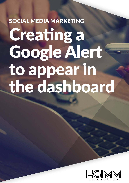## SOCIAL MEDIA MARKETING Creating a Google Alert to appear in the dashboard

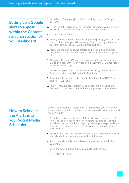**Setting up a Google alert to appear within the Content research section of your dashboard**

- **1.** Go to https://www.google.com/alerts and sign into your Google account.
- **2.** At the top of the screen you will see a text box where you can type in keywords about what you would like to be alerted about.
- **3.** Click on CREATE ALERT.
- **4.** Once you have done this a box will appear displaying your alerts. On the right hand side, you will see a cog. Click on the cog and make sure that both options are unticked, then click save.
- **5.** Now go to the alert you have created and click on the pen symbol and make sure the Deliver to option says RSS feed. Click on Update alert.
- **6.** Now you will see an RSS icon has appeared. Click on this icon and it will open a page with lots of writing on it. Copy the URL that appears at the top of the page.
- **7.** Now open up your social media dashboard and go to the Content Research section and click on the RSS feed tab.
- **8.** Paste the URL that you copied into the box: Enter feed URL. Then click RETRIEVE FEED.
- **9.** This will now pull content from Google about the alert you have created. You can now schedule these into your social media feeds.

## **How to Schedule the Alerts into your Social Media Scheduler**

Now you have created a Google Alert RSS feed inside your dashboard below are the instructions on how to schedule the alerts into your social media scheduler:

- You will see a list of all the titles of the alerts. We recommend that you read the alert you have received before you publish it to your social media to ensure that it is appropriate for your target audience. You can do this my clicking on the title which will open the alert in a new window.
- Once you are ready to schedule the alert to your social media click on the calendar icon on the right hand side of the alert
- Select the social media network(s) that you wish to schedule the content to.
- Select the date and time that you would like it to go out.
- Click SCHEDULE THIS.